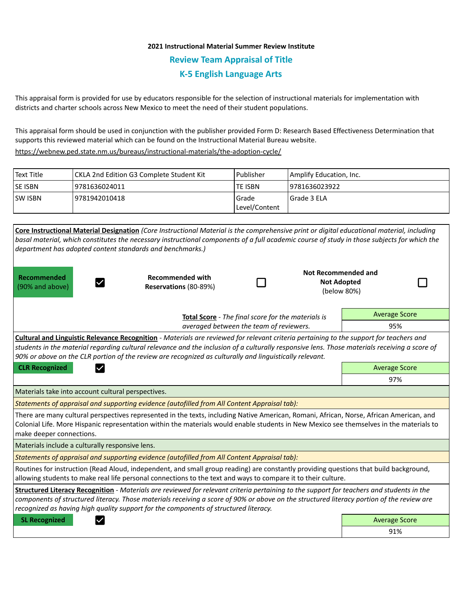## **2021 Instructional Material Summer Review Institute Review Team Appraisal of Title K-5 English Language Arts**

This appraisal form is provided for use by educators responsible for the selection of instructional materials for implementation with districts and charter schools across New Mexico to meet the need of their student populations.

This appraisal form should be used in conjunction with the publisher provided Form D: Research Based Effectiveness Determination that supports this reviewed material which can be found on the Instructional Material Bureau website.

<https://webnew.ped.state.nm.us/bureaus/instructional-materials/the-adoption-cycle/>

| l Text Title | CKLA 2nd Edition G3 Complete Student Kit | l Publisher              | Amplify Education, Inc. |
|--------------|------------------------------------------|--------------------------|-------------------------|
| lse isbn     | 19781636024011                           | <b>TE ISBN</b>           | 19781636023922          |
| lsw Isbn     | 9781942010418                            | l Grade<br>Level/Content | Grade 3 ELA             |

|                                                           | Core Instructional Material Designation (Core Instructional Material is the comprehensive print or digital educational material, including                                                                                                                                                                                                                                                          |                                                    |                                                                 |                      |
|-----------------------------------------------------------|-----------------------------------------------------------------------------------------------------------------------------------------------------------------------------------------------------------------------------------------------------------------------------------------------------------------------------------------------------------------------------------------------------|----------------------------------------------------|-----------------------------------------------------------------|----------------------|
|                                                           | basal material, which constitutes the necessary instructional components of a full academic course of study in those subjects for which the                                                                                                                                                                                                                                                         |                                                    |                                                                 |                      |
| department has adopted content standards and benchmarks.) |                                                                                                                                                                                                                                                                                                                                                                                                     |                                                    |                                                                 |                      |
| <b>Recommended</b><br>(90% and above)                     | <b>Recommended with</b><br>Reservations (80-89%)                                                                                                                                                                                                                                                                                                                                                    |                                                    | <b>Not Recommended and</b><br><b>Not Adopted</b><br>(below 80%) |                      |
|                                                           |                                                                                                                                                                                                                                                                                                                                                                                                     | Total Score - The final score for the materials is |                                                                 | <b>Average Score</b> |
| averaged between the team of reviewers.                   |                                                                                                                                                                                                                                                                                                                                                                                                     |                                                    | 95%                                                             |                      |
|                                                           | Cultural and Linguistic Relevance Recognition - Materials are reviewed for relevant criteria pertaining to the support for teachers and<br>students in the material regarding cultural relevance and the inclusion of a culturally responsive lens. Those materials receiving a score of<br>90% or above on the CLR portion of the review are recognized as culturally and linguistically relevant. |                                                    |                                                                 |                      |
| <b>CLR Recognized</b>                                     |                                                                                                                                                                                                                                                                                                                                                                                                     |                                                    |                                                                 | <b>Average Score</b> |
|                                                           |                                                                                                                                                                                                                                                                                                                                                                                                     |                                                    |                                                                 | 97%                  |
| Materials take into account cultural perspectives.        |                                                                                                                                                                                                                                                                                                                                                                                                     |                                                    |                                                                 |                      |
|                                                           | Statements of appraisal and supporting evidence (autofilled from All Content Appraisal tab):                                                                                                                                                                                                                                                                                                        |                                                    |                                                                 |                      |
| make deeper connections.                                  | There are many cultural perspectives represented in the texts, including Native American, Romani, African, Norse, African American, and<br>Colonial Life. More Hispanic representation within the materials would enable students in New Mexico see themselves in the materials to                                                                                                                  |                                                    |                                                                 |                      |
| Materials include a culturally responsive lens.           |                                                                                                                                                                                                                                                                                                                                                                                                     |                                                    |                                                                 |                      |
|                                                           | Statements of appraisal and supporting evidence (autofilled from All Content Appraisal tab):                                                                                                                                                                                                                                                                                                        |                                                    |                                                                 |                      |
|                                                           | Routines for instruction (Read Aloud, independent, and small group reading) are constantly providing questions that build background,<br>allowing students to make real life personal connections to the text and ways to compare it to their culture.                                                                                                                                              |                                                    |                                                                 |                      |
|                                                           | Structured Literacy Recognition - Materials are reviewed for relevant criteria pertaining to the support for teachers and students in the<br>components of structured literacy. Those materials receiving a score of 90% or above on the structured literacy portion of the review are<br>recognized as having high quality support for the components of structured literacy.                      |                                                    |                                                                 |                      |
| <b>SL Recognized</b>                                      |                                                                                                                                                                                                                                                                                                                                                                                                     |                                                    |                                                                 | <b>Average Score</b> |
|                                                           |                                                                                                                                                                                                                                                                                                                                                                                                     |                                                    |                                                                 | 91%                  |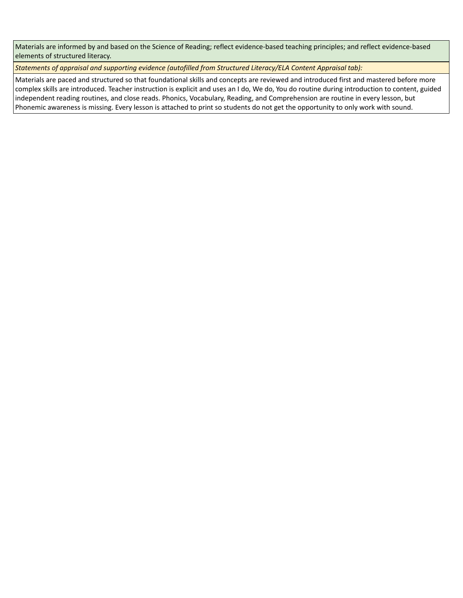Materials are informed by and based on the Science of Reading; reflect evidence-based teaching principles; and reflect evidence-based elements of structured literacy.

*Statements of appraisal and supporting evidence (autofilled from Structured Literacy/ELA Content Appraisal tab):* 

Materials are paced and structured so that foundational skills and concepts are reviewed and introduced first and mastered before more complex skills are introduced. Teacher instruction is explicit and uses an I do, We do, You do routine during introduction to content, guided independent reading routines, and close reads. Phonics, Vocabulary, Reading, and Comprehension are routine in every lesson, but Phonemic awareness is missing. Every lesson is attached to print so students do not get the opportunity to only work with sound.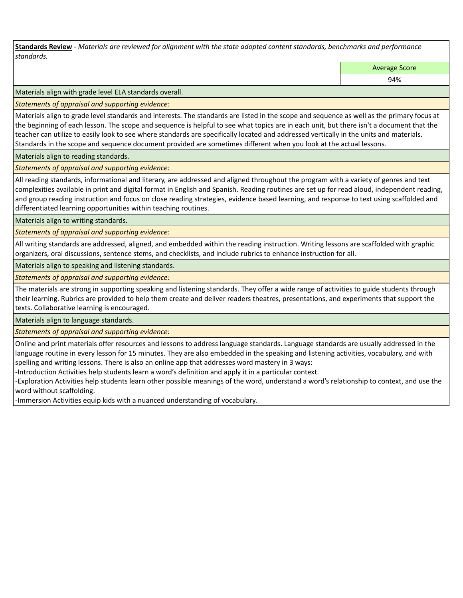**Standards Review** *- Materials are reviewed for alignment with the state adopted content standards, benchmarks and performance standards.*

Average Score

94%

Materials align with grade level ELA standards overall.

*Statements of appraisal and supporting evidence:* 

Materials align to grade level standards and interests. The standards are listed in the scope and sequence as well as the primary focus at the beginning of each lesson. The scope and sequence is helpful to see what topics are in each unit, but there isn't a document that the teacher can utilize to easily look to see where standards are specifically located and addressed vertically in the units and materials. Standards in the scope and sequence document provided are sometimes different when you look at the actual lessons.

Materials align to reading standards.

*Statements of appraisal and supporting evidence:* 

All reading standards, informational and literary, are addressed and aligned throughout the program with a variety of genres and text complexities available in print and digital format in English and Spanish. Reading routines are set up for read aloud, independent reading, and group reading instruction and focus on close reading strategies, evidence based learning, and response to text using scaffolded and differentiated learning opportunities within teaching routines.

Materials align to writing standards.

*Statements of appraisal and supporting evidence:* 

All writing standards are addressed, aligned, and embedded within the reading instruction. Writing lessons are scaffolded with graphic organizers, oral discussions, sentence stems, and checklists, and include rubrics to enhance instruction for all.

Materials align to speaking and listening standards.

*Statements of appraisal and supporting evidence:* 

The materials are strong in supporting speaking and listening standards. They offer a wide range of activities to guide students through their learning. Rubrics are provided to help them create and deliver readers theatres, presentations, and experiments that support the texts. Collaborative learning is encouraged.

Materials align to language standards.

*Statements of appraisal and supporting evidence:* 

Online and print materials offer resources and lessons to address language standards. Language standards are usually addressed in the language routine in every lesson for 15 minutes. They are also embedded in the speaking and listening activities, vocabulary, and with spelling and writing lessons. There is also an online app that addresses word mastery in 3 ways:

-Introduction Activities help students learn a word's definition and apply it in a particular context.

-Exploration Activities help students learn other possible meanings of the word, understand a word's relationship to context, and use the word without scaffolding.

-Immersion Activities equip kids with a nuanced understanding of vocabulary.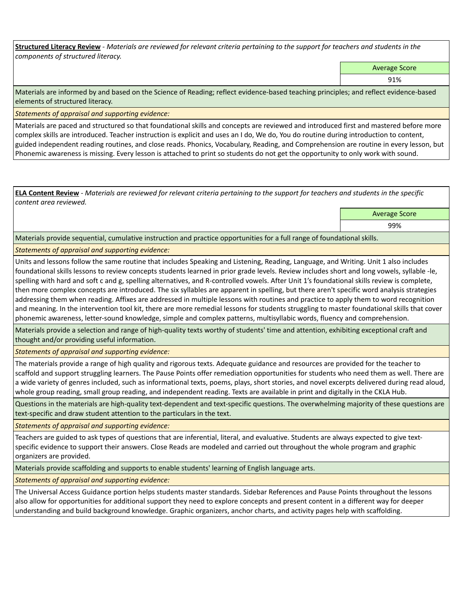**Structured Literacy Review** *- Materials are reviewed for relevant criteria pertaining to the support for teachers and students in the components of structured literacy.*

Average Score

91%

Materials are informed by and based on the Science of Reading; reflect evidence-based teaching principles; and reflect evidence-based elements of structured literacy.

*Statements of appraisal and supporting evidence:*

Materials are paced and structured so that foundational skills and concepts are reviewed and introduced first and mastered before more complex skills are introduced. Teacher instruction is explicit and uses an I do, We do, You do routine during introduction to content, guided independent reading routines, and close reads. Phonics, Vocabulary, Reading, and Comprehension are routine in every lesson, but Phonemic awareness is missing. Every lesson is attached to print so students do not get the opportunity to only work with sound.

**ELA Content Review** *- Materials are reviewed for relevant criteria pertaining to the support for teachers and students in the specific content area reviewed.*

Average Score

99%

Materials provide sequential, cumulative instruction and practice opportunities for a full range of foundational skills.

*Statements of appraisal and supporting evidence:* 

Units and lessons follow the same routine that includes Speaking and Listening, Reading, Language, and Writing. Unit 1 also includes foundational skills lessons to review concepts students learned in prior grade levels. Review includes short and long vowels, syllable -le, spelling with hard and soft c and g, spelling alternatives, and R-controlled vowels. After Unit 1's foundational skills review is complete, then more complex concepts are introduced. The six syllables are apparent in spelling, but there aren't specific word analysis strategies addressing them when reading. Affixes are addressed in multiple lessons with routines and practice to apply them to word recognition and meaning. In the intervention tool kit, there are more remedial lessons for students struggling to master foundational skills that cover phonemic awareness, letter-sound knowledge, simple and complex patterns, multisyllabic words, fluency and comprehension.

Materials provide a selection and range of high-quality texts worthy of students' time and attention, exhibiting exceptional craft and thought and/or providing useful information.

*Statements of appraisal and supporting evidence:* 

The materials provide a range of high quality and rigorous texts. Adequate guidance and resources are provided for the teacher to scaffold and support struggling learners. The Pause Points offer remediation opportunities for students who need them as well. There are a wide variety of genres included, such as informational texts, poems, plays, short stories, and novel excerpts delivered during read aloud, whole group reading, small group reading, and independent reading. Texts are available in print and digitally in the CKLA Hub.

Questions in the materials are high-quality text-dependent and text-specific questions. The overwhelming majority of these questions are text-specific and draw student attention to the particulars in the text.

*Statements of appraisal and supporting evidence:* 

Teachers are guided to ask types of questions that are inferential, literal, and evaluative. Students are always expected to give textspecific evidence to support their answers. Close Reads are modeled and carried out throughout the whole program and graphic organizers are provided.

Materials provide scaffolding and supports to enable students' learning of English language arts.

*Statements of appraisal and supporting evidence:* 

The Universal Access Guidance portion helps students master standards. Sidebar References and Pause Points throughout the lessons also allow for opportunities for additional support they need to explore concepts and present content in a different way for deeper understanding and build background knowledge. Graphic organizers, anchor charts, and activity pages help with scaffolding.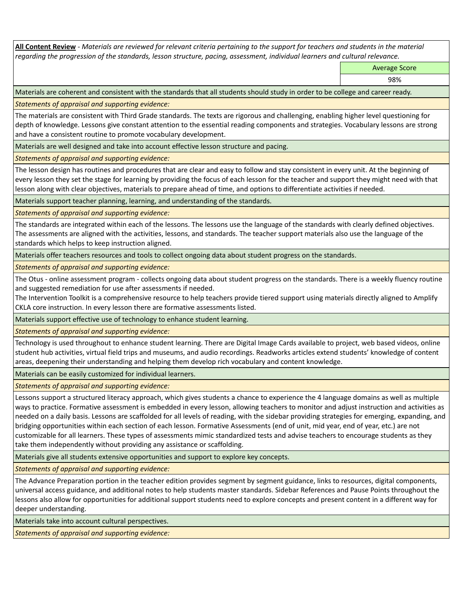**All Content Review** *- Materials are reviewed for relevant criteria pertaining to the support for teachers and students in the material regarding the progression of the standards, lesson structure, pacing, assessment, individual learners and cultural relevance.*

Average Score

98%

Materials are coherent and consistent with the standards that all students should study in order to be college and career ready.

*Statements of appraisal and supporting evidence:*

The materials are consistent with Third Grade standards. The texts are rigorous and challenging, enabling higher level questioning for depth of knowledge. Lessons give constant attention to the essential reading components and strategies. Vocabulary lessons are strong and have a consistent routine to promote vocabulary development.

Materials are well designed and take into account effective lesson structure and pacing.

*Statements of appraisal and supporting evidence:*

The lesson design has routines and procedures that are clear and easy to follow and stay consistent in every unit. At the beginning of every lesson they set the stage for learning by providing the focus of each lesson for the teacher and support they might need with that lesson along with clear objectives, materials to prepare ahead of time, and options to differentiate activities if needed.

Materials support teacher planning, learning, and understanding of the standards.

*Statements of appraisal and supporting evidence:*

The standards are integrated within each of the lessons. The lessons use the language of the standards with clearly defined objectives. The assessments are aligned with the activities, lessons, and standards. The teacher support materials also use the language of the standards which helps to keep instruction aligned.

Materials offer teachers resources and tools to collect ongoing data about student progress on the standards.

*Statements of appraisal and supporting evidence:*

The Otus - online assessment program - collects ongoing data about student progress on the standards. There is a weekly fluency routine and suggested remediation for use after assessments if needed.

The Intervention Toolkit is a comprehensive resource to help teachers provide tiered support using materials directly aligned to Amplify CKLA core instruction. In every lesson there are formative assessments listed.

Materials support effective use of technology to enhance student learning.

*Statements of appraisal and supporting evidence:*

Technology is used throughout to enhance student learning. There are Digital Image Cards available to project, web based videos, online student hub activities, virtual field trips and museums, and audio recordings. Readworks articles extend students' knowledge of content areas, deepening their understanding and helping them develop rich vocabulary and content knowledge.

Materials can be easily customized for individual learners.

*Statements of appraisal and supporting evidence:* 

Lessons support a structured literacy approach, which gives students a chance to experience the 4 language domains as well as multiple ways to practice. Formative assessment is embedded in every lesson, allowing teachers to monitor and adjust instruction and activities as needed on a daily basis. Lessons are scaffolded for all levels of reading, with the sidebar providing strategies for emerging, expanding, and bridging opportunities within each section of each lesson. Formative Assessments (end of unit, mid year, end of year, etc.) are not customizable for all learners. These types of assessments mimic standardized tests and advise teachers to encourage students as they take them independently without providing any assistance or scaffolding.

Materials give all students extensive opportunities and support to explore key concepts.

*Statements of appraisal and supporting evidence:*

The Advance Preparation portion in the teacher edition provides segment by segment guidance, links to resources, digital components, universal access guidance, and additional notes to help students master standards. Sidebar References and Pause Points throughout the lessons also allow for opportunities for additional support students need to explore concepts and present content in a different way for deeper understanding.

Materials take into account cultural perspectives.

*Statements of appraisal and supporting evidence:*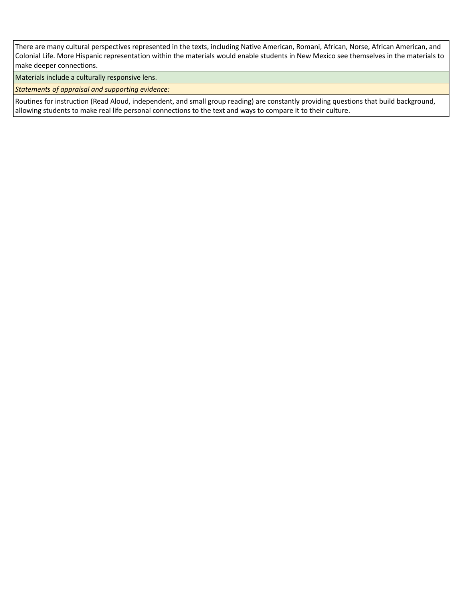There are many cultural perspectives represented in the texts, including Native American, Romani, African, Norse, African American, and Colonial Life. More Hispanic representation within the materials would enable students in New Mexico see themselves in the materials to make deeper connections.

Materials include a culturally responsive lens.

*Statements of appraisal and supporting evidence:*

Routines for instruction (Read Aloud, independent, and small group reading) are constantly providing questions that build background, allowing students to make real life personal connections to the text and ways to compare it to their culture.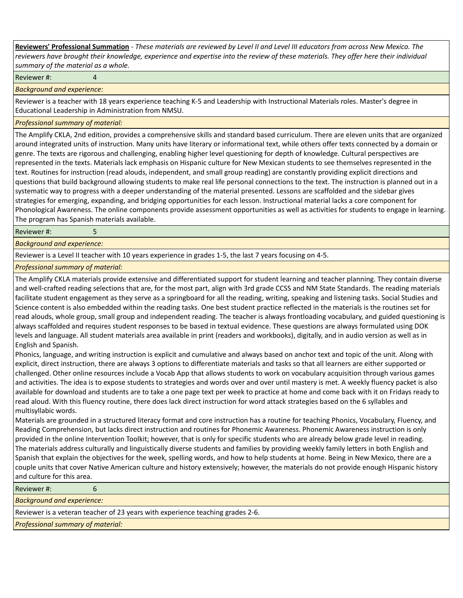**Reviewers' Professional Summation** *- These materials are reviewed by Level II and Level III educators from across New Mexico. The reviewers have brought their knowledge, experience and expertise into the review of these materials. They offer here their individual summary of the material as a whole.*

Reviewer #: 4

*Background and experience:*

Reviewer is a teacher with 18 years experience teaching K-5 and Leadership with Instructional Materials roles. Master's degree in Educational Leadership in Administration from NMSU.

## *Professional summary of material:*

The Amplify CKLA, 2nd edition, provides a comprehensive skills and standard based curriculum. There are eleven units that are organized around integrated units of instruction. Many units have literary or informational text, while others offer texts connected by a domain or genre. The texts are rigorous and challenging, enabling higher level questioning for depth of knowledge. Cultural perspectives are represented in the texts. Materials lack emphasis on Hispanic culture for New Mexican students to see themselves represented in the text. Routines for instruction (read alouds, independent, and small group reading) are constantly providing explicit directions and questions that build background allowing students to make real life personal connections to the text. The instruction is planned out in a systematic way to progress with a deeper understanding of the material presented. Lessons are scaffolded and the sidebar gives strategies for emerging, expanding, and bridging opportunities for each lesson. Instructional material lacks a core component for Phonological Awareness. The online components provide assessment opportunities as well as activities for students to engage in learning. The program has Spanish materials available.

Reviewer #: 5

*Background and experience:*

Reviewer is a Level II teacher with 10 years experience in grades 1-5, the last 7 years focusing on 4-5.

*Professional summary of material:*

The Amplify CKLA materials provide extensive and differentiated support for student learning and teacher planning. They contain diverse and well-crafted reading selections that are, for the most part, align with 3rd grade CCSS and NM State Standards. The reading materials facilitate student engagement as they serve as a springboard for all the reading, writing, speaking and listening tasks. Social Studies and Science content is also embedded within the reading tasks. One best student practice reflected in the materials is the routines set for read alouds, whole group, small group and independent reading. The teacher is always frontloading vocabulary, and guided questioning is always scaffolded and requires student responses to be based in textual evidence. These questions are always formulated using DOK levels and language. All student materials area available in print (readers and workbooks), digitally, and in audio version as well as in English and Spanish.

Phonics, language, and writing instruction is explicit and cumulative and always based on anchor text and topic of the unit. Along with explicit, direct instruction, there are always 3 options to differentiate materials and tasks so that all learners are either supported or challenged. Other online resources include a Vocab App that allows students to work on vocabulary acquisition through various games and activities. The idea is to expose students to strategies and words over and over until mastery is met. A weekly fluency packet is also available for download and students are to take a one page text per week to practice at home and come back with it on Fridays ready to read aloud. With this fluency routine, there does lack direct instruction for word attack strategies based on the 6 syllables and multisyllabic words.

Materials are grounded in a structured literacy format and core instruction has a routine for teaching Phonics, Vocabulary, Fluency, and Reading Comprehension, but lacks direct instruction and routines for Phonemic Awareness. Phonemic Awareness instruction is only provided in the online Intervention Toolkit; however, that is only for specific students who are already below grade level in reading. The materials address culturally and linguistically diverse students and families by providing weekly family letters in both English and Spanish that explain the objectives for the week, spelling words, and how to help students at home. Being in New Mexico, there are a couple units that cover Native American culture and history extensively; however, the materials do not provide enough Hispanic history and culture for this area.

| Reviewer#:                                                                     |  |  |  |  |
|--------------------------------------------------------------------------------|--|--|--|--|
| <b>Background and experience:</b>                                              |  |  |  |  |
| Reviewer is a veteran teacher of 23 years with experience teaching grades 2-6. |  |  |  |  |
| Professional summary of material:                                              |  |  |  |  |